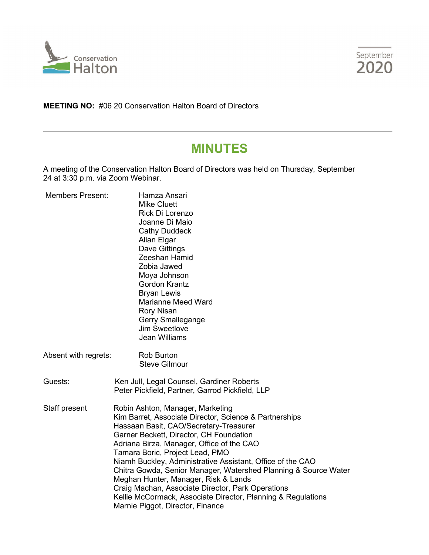



**MEETING NO:** #06 20 Conservation Halton Board of Directors

# **MINUTES**

A meeting of the Conservation Halton Board of Directors was held on Thursday, September 24 at 3:30 p.m. via Zoom Webinar.

| <b>Members Present:</b> | Hamza Ansari<br><b>Mike Cluett</b><br>Rick Di Lorenzo<br>Joanne Di Maio<br><b>Cathy Duddeck</b><br>Allan Elgar<br>Dave Gittings<br>Zeeshan Hamid<br>Zobia Jawed<br>Moya Johnson<br><b>Gordon Krantz</b><br><b>Bryan Lewis</b><br><b>Marianne Meed Ward</b><br>Rory Nisan<br>Gerry Smallegange<br><b>Jim Sweetlove</b><br><b>Jean Williams</b>                                                                                                                                                                                                                                                     |  |
|-------------------------|---------------------------------------------------------------------------------------------------------------------------------------------------------------------------------------------------------------------------------------------------------------------------------------------------------------------------------------------------------------------------------------------------------------------------------------------------------------------------------------------------------------------------------------------------------------------------------------------------|--|
| Absent with regrets:    | <b>Rob Burton</b><br><b>Steve Gilmour</b>                                                                                                                                                                                                                                                                                                                                                                                                                                                                                                                                                         |  |
| Guests:                 | Ken Jull, Legal Counsel, Gardiner Roberts<br>Peter Pickfield, Partner, Garrod Pickfield, LLP                                                                                                                                                                                                                                                                                                                                                                                                                                                                                                      |  |
| Staff present           | Robin Ashton, Manager, Marketing<br>Kim Barret, Associate Director, Science & Partnerships<br>Hassaan Basit, CAO/Secretary-Treasurer<br>Garner Beckett, Director, CH Foundation<br>Adriana Birza, Manager, Office of the CAO<br>Tamara Boric, Project Lead, PMO<br>Niamh Buckley, Administrative Assistant, Office of the CAO<br>Chitra Gowda, Senior Manager, Watershed Planning & Source Water<br>Meghan Hunter, Manager, Risk & Lands<br>Craig Machan, Associate Director, Park Operations<br>Kellie McCormack, Associate Director, Planning & Regulations<br>Marnie Piggot, Director, Finance |  |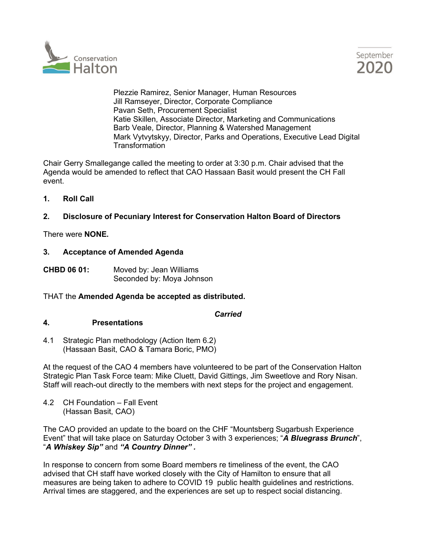



 Plezzie Ramirez, Senior Manager, Human Resources Jill Ramseyer, Director, Corporate Compliance Pavan Seth, Procurement Specialist Katie Skillen, Associate Director, Marketing and Communications Barb Veale, Director, Planning & Watershed Management Mark Vytvytskyy, Director, Parks and Operations, Executive Lead Digital **Transformation** 

Chair Gerry Smallegange called the meeting to order at 3:30 p.m. Chair advised that the Agenda would be amended to reflect that CAO Hassaan Basit would present the CH Fall event.

**1. Roll Call** 

## **2. Disclosure of Pecuniary Interest for Conservation Halton Board of Directors**

There were **NONE.**

#### **3. Acceptance of Amended Agenda**

**CHBD 06 01:** Moved by: Jean Williams Seconded by: Moya Johnson

#### THAT the **Amended Agenda be accepted as distributed.**

*Carried*

#### **4. Presentations**

4.1 Strategic Plan methodology (Action Item 6.2) (Hassaan Basit, CAO & Tamara Boric, PMO)

At the request of the CAO 4 members have volunteered to be part of the Conservation Halton Strategic Plan Task Force team: Mike Cluett, David Gittings, Jim Sweetlove and Rory Nisan. Staff will reach-out directly to the members with next steps for the project and engagement.

4.2 CH Foundation – Fall Event (Hassan Basit, CAO)

The CAO provided an update to the board on the CHF "Mountsberg Sugarbush Experience Event" that will take place on Saturday October 3 with 3 experiences; "*A Bluegrass Brunch*", "*A Whiskey Sip"* and *"A Country Dinner" .* 

In response to concern from some Board members re timeliness of the event, the CAO advised that CH staff have worked closely with the City of Hamilton to ensure that all measures are being taken to adhere to COVID 19 public health guidelines and restrictions. Arrival times are staggered, and the experiences are set up to respect social distancing.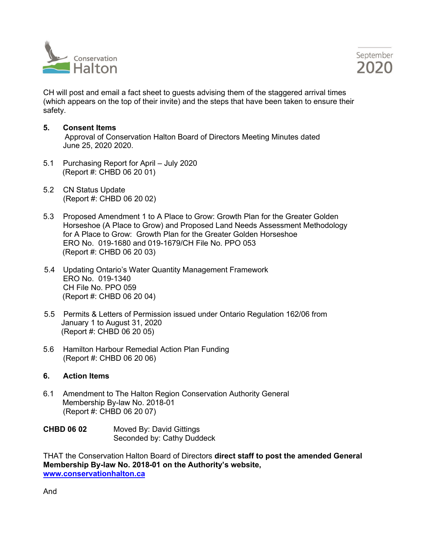



CH will post and email a fact sheet to guests advising them of the staggered arrival times (which appears on the top of their invite) and the steps that have been taken to ensure their safety.

#### **5. Consent Items**

 Approval of Conservation Halton Board of Directors Meeting Minutes dated June 25, 2020 2020.

- 5.1 Purchasing Report for April July 2020 (Report #: CHBD 06 20 01)
- 5.2 CN Status Update (Report #: CHBD 06 20 02)
- 5.3 Proposed Amendment 1 to A Place to Grow: Growth Plan for the Greater Golden Horseshoe (A Place to Grow) and Proposed Land Needs Assessment Methodology for A Place to Grow: Growth Plan for the Greater Golden Horseshoe ERO No. 019-1680 and 019-1679/CH File No. PPO 053 (Report #: CHBD 06 20 03)
- 5.4 Updating Ontario's Water Quantity Management Framework ERO No. 019-1340 CH File No. PPO 059 (Report #: CHBD 06 20 04)
- 5.5 Permits & Letters of Permission issued under Ontario Regulation 162/06 from January 1 to August 31, 2020 (Report #: CHBD 06 20 05)
- 5.6 Hamilton Harbour Remedial Action Plan Funding (Report #: CHBD 06 20 06)

#### **6. Action Items**

6.1 Amendment to The Halton Region Conservation Authority General Membership By-law No. 2018-01 (Report #: CHBD 06 20 07)

| <b>CHBD 06 02</b> | Moved By: David Gittings   |
|-------------------|----------------------------|
|                   | Seconded by: Cathy Duddeck |

THAT the Conservation Halton Board of Directors **direct staff to post the amended General Membership By-law No. 2018-01 on the Authority's website, [www.conservationhalton.ca](http://www.conservationhalton.ca/)**

And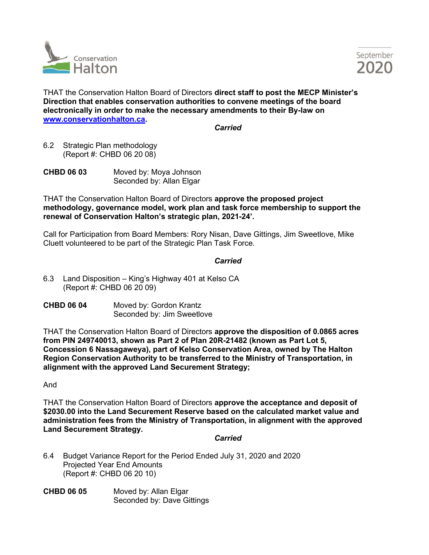



THAT the Conservation Halton Board of Directors **direct staff to post the MECP Minister's Direction that enables conservation authorities to convene meetings of the board electronically in order to make the necessary amendments to their By-law on [www.conservationhalton.ca.](http://www.conservationhalton.ca/)** 

*Carried* 

6.2 Strategic Plan methodology (Report #: CHBD 06 20 08)

| <b>CHBD 06 03</b> | Moved by: Moya Johnson   |
|-------------------|--------------------------|
|                   | Seconded by: Allan Elgar |

THAT the Conservation Halton Board of Directors **approve the proposed project methodology, governance model, work plan and task force membership to support the renewal of Conservation Halton's strategic plan, 2021-24'.** 

Call for Participation from Board Members: Rory Nisan, Dave Gittings, Jim Sweetlove, Mike Cluett volunteered to be part of the Strategic Plan Task Force.

## *Carried* **Carried**

- 6.3 Land Disposition King's Highway 401 at Kelso CA (Report #: CHBD 06 20 09)
- **CHBD 06 04** Moved by: Gordon Krantz Seconded by: Jim Sweetlove

THAT the Conservation Halton Board of Directors **approve the disposition of 0.0865 acres from PIN 249740013, shown as Part 2 of Plan 20R-21482 (known as Part Lot 5, Concession 6 Nassagaweya), part of Kelso Conservation Area, owned by The Halton Region Conservation Authority to be transferred to the Ministry of Transportation, in alignment with the approved Land Securement Strategy;**

And

THAT the Conservation Halton Board of Directors **approve the acceptance and deposit of \$2030.00 into the Land Securement Reserve based on the calculated market value and administration fees from the Ministry of Transportation, in alignment with the approved Land Securement Strategy.**

#### *Carried* **Carried**

- 6.4 Budget Variance Report for the Period Ended July 31, 2020 and 2020 Projected Year End Amounts (Report #: CHBD 06 20 10)
- **CHBD 06 05** Moved by: Allan Elgar Seconded by: Dave Gittings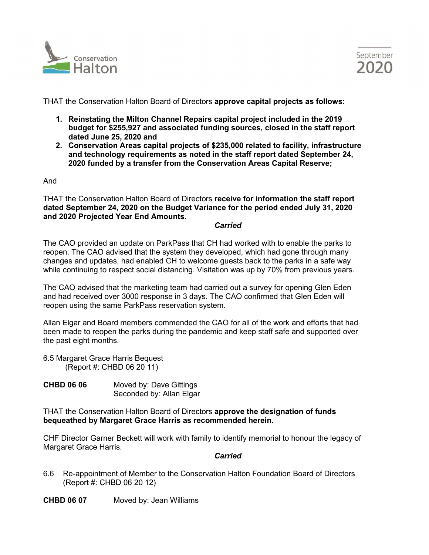



THAT the Conservation Halton Board of Directors **approve capital projects as follows:**

- **1. Reinstating the Milton Channel Repairs capital project included in the 2019 budget for \$255,927 and associated funding sources, closed in the staff report dated June 25, 2020 and**
- **2. Conservation Areas capital projects of \$235,000 related to facility, infrastructure and technology requirements as noted in the staff report dated September 24, 2020 funded by a transfer from the Conservation Areas Capital Reserve;**

And

THAT the Conservation Halton Board of Directors **receive for information the staff report dated September 24, 2020 on the Budget Variance for the period ended July 31, 2020 and 2020 Projected Year End Amounts.** 

*Carried*

The CAO provided an update on ParkPass that CH had worked with to enable the parks to reopen. The CAO advised that the system they developed, which had gone through many changes and updates, had enabled CH to welcome guests back to the parks in a safe way while continuing to respect social distancing. Visitation was up by 70% from previous years.

The CAO advised that the marketing team had carried out a survey for opening Glen Eden and had received over 3000 response in 3 days. The CAO confirmed that Glen Eden will reopen using the same ParkPass reservation system.

Allan Elgar and Board members commended the CAO for all of the work and efforts that had been made to reopen the parks during the pandemic and keep staff safe and supported over the past eight months.

6.5 Margaret Grace Harris Bequest (Report #: CHBD 06 20 11)

**CHBD 06 06** Moved by: Dave Gittings Seconded by: Allan Elgar

THAT the Conservation Halton Board of Directors **approve the designation of funds bequeathed by Margaret Grace Harris as recommended herein.** 

CHF Director Garner Beckett will work with family to identify memorial to honour the legacy of Margaret Grace Harris.

#### *Carried*

6.6 Re-appointment of Member to the Conservation Halton Foundation Board of Directors (Report #: CHBD 06 20 12)

**CHBD 06 07** Moved by: Jean Williams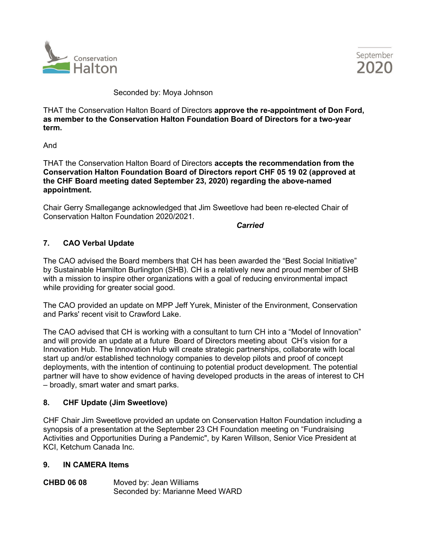



Seconded by: Moya Johnson

THAT the Conservation Halton Board of Directors **approve the re-appointment of Don Ford, as member to the Conservation Halton Foundation Board of Directors for a two-year term.**

And

THAT the Conservation Halton Board of Directors **accepts the recommendation from the Conservation Halton Foundation Board of Directors report CHF 05 19 02 (approved at the CHF Board meeting dated September 23, 2020) regarding the above-named appointment.** 

Chair Gerry Smallegange acknowledged that Jim Sweetlove had been re-elected Chair of Conservation Halton Foundation 2020/2021.

*Carried*

## **7. CAO Verbal Update**

The CAO advised the Board members that CH has been awarded the "Best Social Initiative" by Sustainable Hamilton Burlington (SHB). CH is a relatively new and proud member of SHB with a mission to inspire other organizations with a goal of reducing environmental impact while providing for greater social good.

The CAO provided an update on MPP Jeff Yurek, Minister of the Environment, Conservation and Parks' recent visit to Crawford Lake.

The CAO advised that CH is working with a consultant to turn CH into a "Model of Innovation" and will provide an update at a future Board of Directors meeting about CH's vision for a Innovation Hub. The Innovation Hub will create strategic partnerships, collaborate with local start up and/or established technology companies to develop pilots and proof of concept deployments, with the intention of continuing to potential product development. The potential partner will have to show evidence of having developed products in the areas of interest to CH – broadly, smart water and smart parks.

#### **8. CHF Update (Jim Sweetlove)**

CHF Chair Jim Sweetlove provided an update on Conservation Halton Foundation including a synopsis of a presentation at the September 23 CH Foundation meeting on "Fundraising Activities and Opportunities During a Pandemic", by Karen Willson, Senior Vice President at KCI, Ketchum Canada Inc.

#### **9. IN CAMERA Items**

**CHBD 06 08** Moved by: Jean Williams Seconded by: Marianne Meed WARD